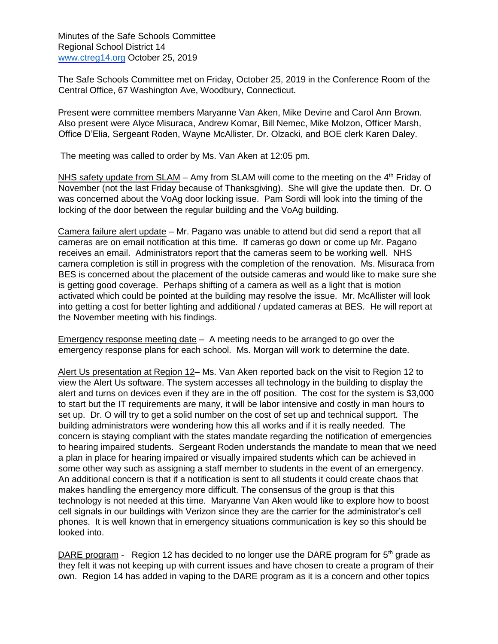Minutes of the Safe Schools Committee Regional School District 14 [www.ctreg14.org](http://www.ctreg14.org/) [O](http://www.ctreg14.org/)ctober 25, 2019

The Safe Schools Committee met on Friday, October 25, 2019 in the Conference Room of the Central Office, 67 Washington Ave, Woodbury, Connecticut.

Present were committee members Maryanne Van Aken, Mike Devine and Carol Ann Brown. Also present were Alyce Misuraca, Andrew Komar, Bill Nemec, Mike Molzon, Officer Marsh, Office D'Elia, Sergeant Roden, Wayne McAllister, Dr. Olzacki, and BOE clerk Karen Daley.

The meeting was called to order by Ms. Van Aken at 12:05 pm.

NHS safety update from SLAM - Amy from SLAM will come to the meeting on the 4<sup>th</sup> Friday of November (not the last Friday because of Thanksgiving). She will give the update then. Dr. O was concerned about the VoAg door locking issue. Pam Sordi will look into the timing of the locking of the door between the regular building and the VoAg building.

Camera failure alert update – Mr. Pagano was unable to attend but did send a report that all cameras are on email notification at this time. If cameras go down or come up Mr. Pagano receives an email. Administrators report that the cameras seem to be working well. NHS camera completion is still in progress with the completion of the renovation. Ms. Misuraca from BES is concerned about the placement of the outside cameras and would like to make sure she is getting good coverage. Perhaps shifting of a camera as well as a light that is motion activated which could be pointed at the building may resolve the issue. Mr. McAllister will look into getting a cost for better lighting and additional / updated cameras at BES. He will report at the November meeting with his findings.

Emergency response meeting date – A meeting needs to be arranged to go over the emergency response plans for each school. Ms. Morgan will work to determine the date.

Alert Us presentation at Region 12– Ms. Van Aken reported back on the visit to Region 12 to view the Alert Us software. The system accesses all technology in the building to display the alert and turns on devices even if they are in the off position. The cost for the system is \$3,000 to start but the IT requirements are many, it will be labor intensive and costly in man hours to set up. Dr. O will try to get a solid number on the cost of set up and technical support. The building administrators were wondering how this all works and if it is really needed. The concern is staying compliant with the states mandate regarding the notification of emergencies to hearing impaired students. Sergeant Roden understands the mandate to mean that we need a plan in place for hearing impaired or visually impaired students which can be achieved in some other way such as assigning a staff member to students in the event of an emergency. An additional concern is that if a notification is sent to all students it could create chaos that makes handling the emergency more difficult. The consensus of the group is that this technology is not needed at this time. Maryanne Van Aken would like to explore how to boost cell signals in our buildings with Verizon since they are the carrier for the administrator's cell phones. It is well known that in emergency situations communication is key so this should be looked into.

DARE program - Region 12 has decided to no longer use the DARE program for  $5<sup>th</sup>$  grade as they felt it was not keeping up with current issues and have chosen to create a program of their own. Region 14 has added in vaping to the DARE program as it is a concern and other topics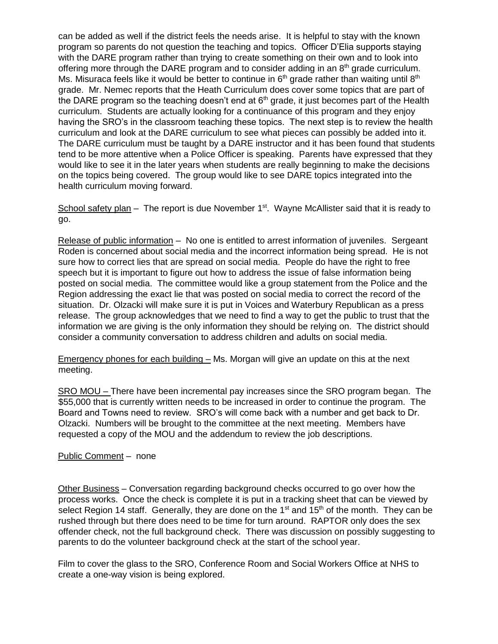can be added as well if the district feels the needs arise. It is helpful to stay with the known program so parents do not question the teaching and topics. Officer D'Elia supports staying with the DARE program rather than trying to create something on their own and to look into offering more through the DARE program and to consider adding in an 8<sup>th</sup> grade curriculum. Ms. Misuraca feels like it would be better to continue in  $6<sup>th</sup>$  grade rather than waiting until  $8<sup>th</sup>$ grade. Mr. Nemec reports that the Heath Curriculum does cover some topics that are part of the DARE program so the teaching doesn't end at  $6<sup>th</sup>$  grade, it just becomes part of the Health curriculum. Students are actually looking for a continuance of this program and they enjoy having the SRO's in the classroom teaching these topics. The next step is to review the health curriculum and look at the DARE curriculum to see what pieces can possibly be added into it. The DARE curriculum must be taught by a DARE instructor and it has been found that students tend to be more attentive when a Police Officer is speaking. Parents have expressed that they would like to see it in the later years when students are really beginning to make the decisions on the topics being covered. The group would like to see DARE topics integrated into the health curriculum moving forward.

School safety plan – The report is due November  $1<sup>st</sup>$ . Wayne McAllister said that it is ready to go.

Release of public information – No one is entitled to arrest information of juveniles. Sergeant Roden is concerned about social media and the incorrect information being spread. He is not sure how to correct lies that are spread on social media. People do have the right to free speech but it is important to figure out how to address the issue of false information being posted on social media. The committee would like a group statement from the Police and the Region addressing the exact lie that was posted on social media to correct the record of the situation. Dr. Olzacki will make sure it is put in Voices and Waterbury Republican as a press release. The group acknowledges that we need to find a way to get the public to trust that the information we are giving is the only information they should be relying on. The district should consider a community conversation to address children and adults on social media.

Emergency phones for each building – Ms. Morgan will give an update on this at the next meeting.

SRO MOU – There have been incremental pay increases since the SRO program began. The \$55,000 that is currently written needs to be increased in order to continue the program. The Board and Towns need to review. SRO's will come back with a number and get back to Dr. Olzacki. Numbers will be brought to the committee at the next meeting. Members have requested a copy of the MOU and the addendum to review the job descriptions.

## Public Comment - none

Other Business – Conversation regarding background checks occurred to go over how the process works. Once the check is complete it is put in a tracking sheet that can be viewed by select Region 14 staff. Generally, they are done on the  $1<sup>st</sup>$  and  $15<sup>th</sup>$  of the month. They can be rushed through but there does need to be time for turn around. RAPTOR only does the sex offender check, not the full background check. There was discussion on possibly suggesting to parents to do the volunteer background check at the start of the school year.

Film to cover the glass to the SRO, Conference Room and Social Workers Office at NHS to create a one-way vision is being explored.